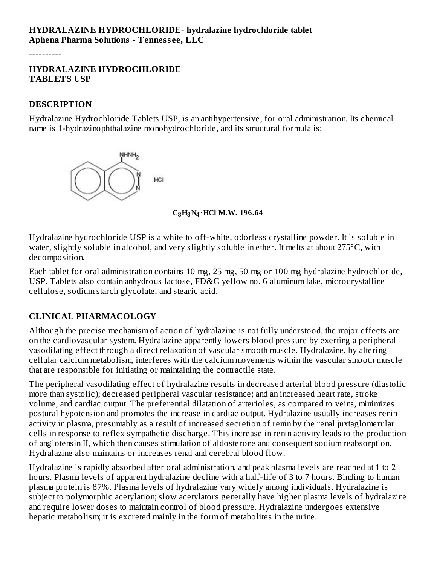----------

#### **HYDRALAZINE HYDROCHLORIDE TABLETS USP**

#### **DESCRIPTION**

Hydralazine Hydrochloride Tablets USP, is an antihypertensive, for oral administration. Its chemical name is 1-hydrazinophthalazine monohydrochloride, and its structural formula is:



**C H N ·HCl M.W. 196.64 8 8 4**

Hydralazine hydrochloride USP is a white to off-white, odorless crystalline powder. It is soluble in water, slightly soluble in alcohol, and very slightly soluble in ether. It melts at about 275°C, with decomposition.

Each tablet for oral administration contains 10 mg, 25 mg, 50 mg or 100 mg hydralazine hydrochloride, USP. Tablets also contain anhydrous lactose, FD&C yellow no. 6 aluminum lake, microcrystalline cellulose, sodium starch glycolate, and stearic acid.

# **CLINICAL PHARMACOLOGY**

Although the precise mechanism of action of hydralazine is not fully understood, the major effects are on the cardiovascular system. Hydralazine apparently lowers blood pressure by exerting a peripheral vasodilating effect through a direct relaxation of vascular smooth muscle. Hydralazine, by altering cellular calcium metabolism, interferes with the calcium movements within the vascular smooth muscle that are responsible for initiating or maintaining the contractile state.

The peripheral vasodilating effect of hydralazine results in decreased arterial blood pressure (diastolic more than systolic); decreased peripheral vascular resistance; and an increased heart rate, stroke volume, and cardiac output. The preferential dilatation of arterioles, as compared to veins, minimizes postural hypotension and promotes the increase in cardiac output. Hydralazine usually increases renin activity in plasma, presumably as a result of increased secretion of renin by the renal juxtaglomerular cells in response to reflex sympathetic discharge. This increase in renin activity leads to the production of angiotensin II, which then causes stimulation of aldosterone and consequent sodium reabsorption. Hydralazine also maintains or increases renal and cerebral blood flow.

Hydralazine is rapidly absorbed after oral administration, and peak plasma levels are reached at 1 to 2 hours. Plasma levels of apparent hydralazine decline with a half-life of 3 to 7 hours. Binding to human plasma protein is 87%. Plasma levels of hydralazine vary widely among individuals. Hydralazine is subject to polymorphic acetylation; slow acetylators generally have higher plasma levels of hydralazine and require lower doses to maintain control of blood pressure. Hydralazine undergoes extensive hepatic metabolism; it is excreted mainly in the form of metabolites in the urine.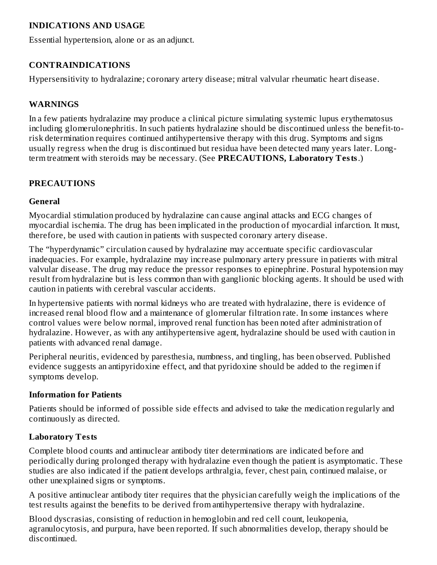## **INDICATIONS AND USAGE**

Essential hypertension, alone or as an adjunct.

## **CONTRAINDICATIONS**

Hypersensitivity to hydralazine; coronary artery disease; mitral valvular rheumatic heart disease.

### **WARNINGS**

In a few patients hydralazine may produce a clinical picture simulating systemic lupus erythematosus including glomerulonephritis. In such patients hydralazine should be discontinued unless the benefit-torisk determination requires continued antihypertensive therapy with this drug. Symptoms and signs usually regress when the drug is discontinued but residua have been detected many years later. Longterm treatment with steroids may be necessary. (See **PRECAUTIONS, Laboratory Tests**.)

## **PRECAUTIONS**

## **General**

Myocardial stimulation produced by hydralazine can cause anginal attacks and ECG changes of myocardial ischemia. The drug has been implicated in the production of myocardial infarction. It must, therefore, be used with caution in patients with suspected coronary artery disease.

The "hyperdynamic" circulation caused by hydralazine may accentuate specific cardiovascular inadequacies. For example, hydralazine may increase pulmonary artery pressure in patients with mitral valvular disease. The drug may reduce the pressor responses to epinephrine. Postural hypotension may result from hydralazine but is less common than with ganglionic blocking agents. It should be used with caution in patients with cerebral vascular accidents.

In hypertensive patients with normal kidneys who are treated with hydralazine, there is evidence of increased renal blood flow and a maintenance of glomerular filtration rate. In some instances where control values were below normal, improved renal function has been noted after administration of hydralazine. However, as with any antihypertensive agent, hydralazine should be used with caution in patients with advanced renal damage.

Peripheral neuritis, evidenced by paresthesia, numbness, and tingling, has been observed. Published evidence suggests an antipyridoxine effect, and that pyridoxine should be added to the regimen if symptoms develop.

#### **Information for Patients**

Patients should be informed of possible side effects and advised to take the medication regularly and continuously as directed.

# **Laboratory Tests**

Complete blood counts and antinuclear antibody titer determinations are indicated before and periodically during prolonged therapy with hydralazine even though the patient is asymptomatic. These studies are also indicated if the patient develops arthralgia, fever, chest pain, continued malaise, or other unexplained signs or symptoms.

A positive antinuclear antibody titer requires that the physician carefully weigh the implications of the test results against the benefits to be derived from antihypertensive therapy with hydralazine.

Blood dyscrasias, consisting of reduction in hemoglobin and red cell count, leukopenia, agranulocytosis, and purpura, have been reported. If such abnormalities develop, therapy should be discontinued.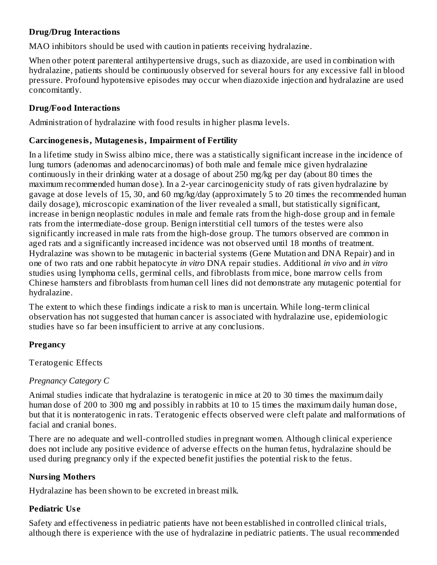# **Drug/Drug Interactions**

MAO inhibitors should be used with caution in patients receiving hydralazine.

When other potent parenteral antihypertensive drugs, such as diazoxide, are used in combination with hydralazine, patients should be continuously observed for several hours for any excessive fall in blood pressure. Profound hypotensive episodes may occur when diazoxide injection and hydralazine are used concomitantly.

### **Drug/Food Interactions**

Administration of hydralazine with food results in higher plasma levels.

#### **Carcinogenesis, Mutagenesis, Impairment of Fertility**

In a lifetime study in Swiss albino mice, there was a statistically significant increase in the incidence of lung tumors (adenomas and adenocarcinomas) of both male and female mice given hydralazine continuously in their drinking water at a dosage of about 250 mg/kg per day (about 80 times the maximum recommended human dose). In a 2-year carcinogenicity study of rats given hydralazine by gavage at dose levels of 15, 30, and 60 mg/kg/day (approximately 5 to 20 times the recommended human daily dosage), microscopic examination of the liver revealed a small, but statistically significant, increase in benign neoplastic nodules in male and female rats from the high-dose group and in female rats from the intermediate-dose group. Benign interstitial cell tumors of the testes were also significantly increased in male rats from the high-dose group. The tumors observed are common in aged rats and a significantly increased incidence was not observed until 18 months of treatment. Hydralazine was shown to be mutagenic in bacterial systems (Gene Mutation and DNA Repair) and in one of two rats and one rabbit hepatocyte *in vitro* DNA repair studies. Additional *in vivo* and *in vitro* studies using lymphoma cells, germinal cells, and fibroblasts from mice, bone marrow cells from Chinese hamsters and fibroblasts from human cell lines did not demonstrate any mutagenic potential for hydralazine.

The extent to which these findings indicate a risk to man is uncertain. While long-term clinical observation has not suggested that human cancer is associated with hydralazine use, epidemiologic studies have so far been insufficient to arrive at any conclusions.

#### **Pregancy**

Teratogenic Effects

#### *Pregnancy Category C*

Animal studies indicate that hydralazine is teratogenic in mice at 20 to 30 times the maximum daily human dose of 200 to 300 mg and possibly in rabbits at 10 to 15 times the maximum daily human dose, but that it is nonteratogenic in rats. Teratogenic effects observed were cleft palate and malformations of facial and cranial bones.

There are no adequate and well-controlled studies in pregnant women. Although clinical experience does not include any positive evidence of adverse effects on the human fetus, hydralazine should be used during pregnancy only if the expected benefit justifies the potential risk to the fetus.

#### **Nursing Mothers**

Hydralazine has been shown to be excreted in breast milk.

#### **Pediatric Us e**

Safety and effectiveness in pediatric patients have not been established in controlled clinical trials, although there is experience with the use of hydralazine in pediatric patients. The usual recommended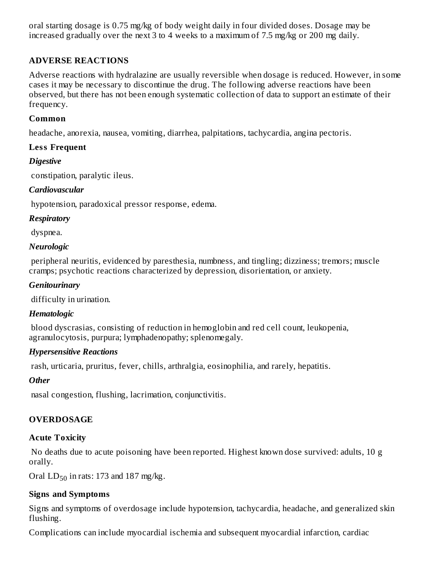oral starting dosage is 0.75 mg/kg of body weight daily in four divided doses. Dosage may be increased gradually over the next 3 to 4 weeks to a maximum of 7.5 mg/kg or 200 mg daily.

# **ADVERSE REACTIONS**

Adverse reactions with hydralazine are usually reversible when dosage is reduced. However, in some cases it may be necessary to discontinue the drug. The following adverse reactions have been observed, but there has not been enough systematic collection of data to support an estimate of their frequency.

### **Common**

headache, anorexia, nausea, vomiting, diarrhea, palpitations, tachycardia, angina pectoris.

## **Less Frequent**

## *Digestive*

constipation, paralytic ileus.

## *Cardiovascular*

hypotension, paradoxical pressor response, edema.

## *Respiratory*

dyspnea.

#### *Neurologic*

peripheral neuritis, evidenced by paresthesia, numbness, and tingling; dizziness; tremors; muscle cramps; psychotic reactions characterized by depression, disorientation, or anxiety.

### *Genitourinary*

difficulty in urination.

#### *Hematologic*

blood dyscrasias, consisting of reduction in hemoglobin and red cell count, leukopenia, agranulocytosis, purpura; lymphadenopathy; splenomegaly.

#### *Hypersensitive Reactions*

rash, urticaria, pruritus, fever, chills, arthralgia, eosinophilia, and rarely, hepatitis.

# *Other*

nasal congestion, flushing, lacrimation, conjunctivitis.

# **OVERDOSAGE**

# **Acute Toxicity**

No deaths due to acute poisoning have been reported. Highest known dose survived: adults, 10 g orally.

Oral  $LD_{50}$  in rats: 173 and 187 mg/kg.

# **Signs and Symptoms**

Signs and symptoms of overdosage include hypotension, tachycardia, headache, and generalized skin flushing.

Complications can include myocardial ischemia and subsequent myocardial infarction, cardiac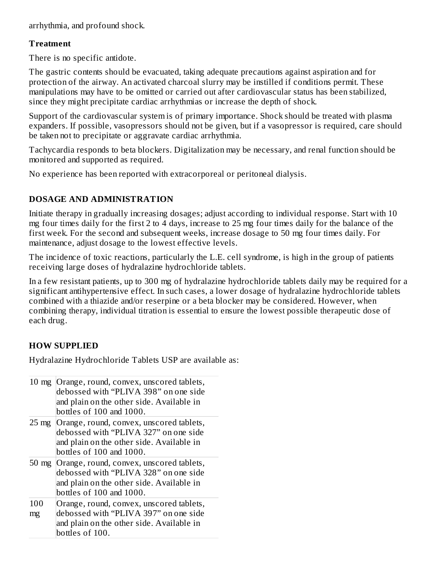arrhythmia, and profound shock.

## **Treatment**

There is no specific antidote.

The gastric contents should be evacuated, taking adequate precautions against aspiration and for protection of the airway. An activated charcoal slurry may be instilled if conditions permit. These manipulations may have to be omitted or carried out after cardiovascular status has been stabilized, since they might precipitate cardiac arrhythmias or increase the depth of shock.

Support of the cardiovascular system is of primary importance. Shock should be treated with plasma expanders. If possible, vasopressors should not be given, but if a vasopressor is required, care should be taken not to precipitate or aggravate cardiac arrhythmia.

Tachycardia responds to beta blockers. Digitalization may be necessary, and renal function should be monitored and supported as required.

No experience has been reported with extracorporeal or peritoneal dialysis.

# **DOSAGE AND ADMINISTRATION**

Initiate therapy in gradually increasing dosages; adjust according to individual response. Start with 10 mg four times daily for the first 2 to 4 days, increase to 25 mg four times daily for the balance of the first week. For the second and subsequent weeks, increase dosage to 50 mg four times daily. For maintenance, adjust dosage to the lowest effective levels.

The incidence of toxic reactions, particularly the L.E. cell syndrome, is high in the group of patients receiving large doses of hydralazine hydrochloride tablets.

In a few resistant patients, up to 300 mg of hydralazine hydrochloride tablets daily may be required for a significant antihypertensive effect. In such cases, a lower dosage of hydralazine hydrochloride tablets combined with a thiazide and/or reserpine or a beta blocker may be considered. However, when combining therapy, individual titration is essential to ensure the lowest possible therapeutic dose of each drug.

# **HOW SUPPLIED**

Hydralazine Hydrochloride Tablets USP are available as:

| $10 \text{ mg}$ | Orange, round, convex, unscored tablets,<br>debossed with "PLIVA 398" on one side<br>and plain on the other side. Available in<br>bottles of $100$ and $1000$ .    |
|-----------------|--------------------------------------------------------------------------------------------------------------------------------------------------------------------|
|                 | 25 mg   Orange, round, convex, unscored tablets,<br>debossed with "PLIVA 327" on one side<br>and plain on the other side. Available in<br>bottles of 100 and 1000. |
|                 | 50 mg   Orange, round, convex, unscored tablets,<br>debossed with "PLIVA 328" on one side<br>and plain on the other side. Available in<br>bottles of 100 and 1000. |
| 100             | Orange, round, convex, unscored tablets,                                                                                                                           |
| mg              | debossed with "PLIVA 397" on one side<br>and plain on the other side. Available in<br>bottles of 100.                                                              |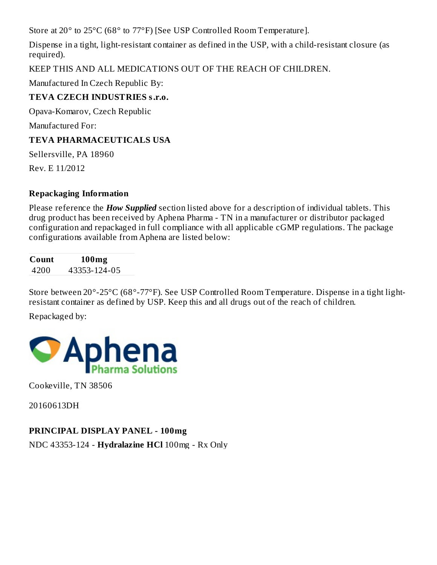Store at 20° to 25°C (68° to 77°F) [See USP Controlled Room Temperature].

Dispense in a tight, light-resistant container as defined in the USP, with a child-resistant closure (as required).

KEEP THIS AND ALL MEDICATIONS OUT OF THE REACH OF CHILDREN.

Manufactured In Czech Republic By:

# **TEVA CZECH INDUSTRIES s.r.o.**

Opava-Komarov, Czech Republic

Manufactured For:

# **TEVA PHARMACEUTICALS USA**

Sellersville, PA 18960

Rev. E 11/2012

## **Repackaging Information**

Please reference the *How Supplied* section listed above for a description of individual tablets. This drug product has been received by Aphena Pharma - TN in a manufacturer or distributor packaged configuration and repackaged in full compliance with all applicable cGMP regulations. The package configurations available from Aphena are listed below:

| Count | 100mg        |
|-------|--------------|
| 4200  | 43353-124-05 |

Store between 20°-25°C (68°-77°F). See USP Controlled Room Temperature. Dispense in a tight lightresistant container as defined by USP. Keep this and all drugs out of the reach of children.

Repackaged by:



Cookeville, TN 38506

20160613DH

# **PRINCIPAL DISPLAY PANEL - 100mg**

NDC 43353-124 - **Hydralazine HCl** 100mg - Rx Only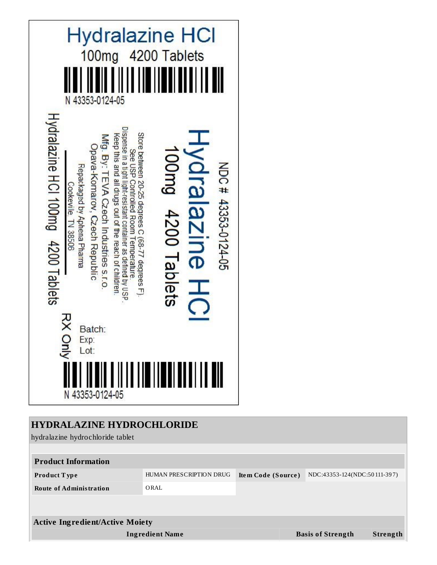

# **HYDRALAZINE HYDROCHLORIDE**

hydralazine hydrochloride tablet

| <b>Product Information</b>             |                         |                    |  |                              |          |  |
|----------------------------------------|-------------------------|--------------------|--|------------------------------|----------|--|
| Product Type                           | HUMAN PRESCRIPTION DRUG | Item Code (Source) |  | NDC:43353-124(NDC:50111-397) |          |  |
| <b>Route of Administration</b>         | ORAL                    |                    |  |                              |          |  |
|                                        |                         |                    |  |                              |          |  |
|                                        |                         |                    |  |                              |          |  |
| <b>Active Ingredient/Active Moiety</b> |                         |                    |  |                              |          |  |
| <b>Ingredient Name</b>                 |                         |                    |  | <b>Basis of Strength</b>     | Strength |  |
|                                        |                         |                    |  |                              |          |  |